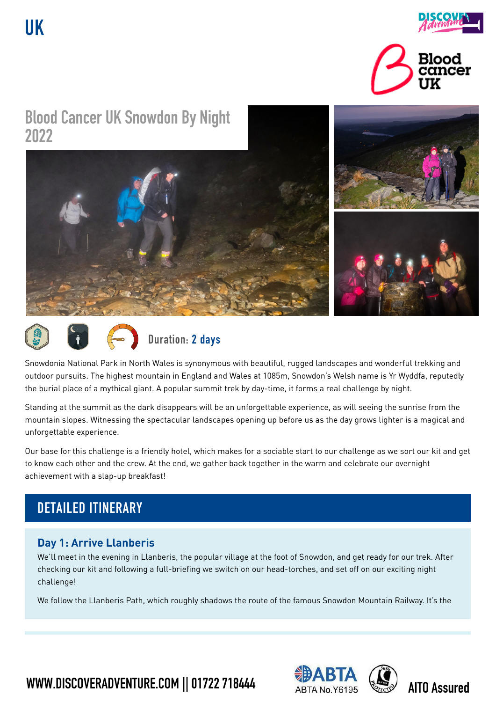**UK**



# **Blood Cancer UK Snowdon By Night 2022**





Snowdonia National Park in North Wales is synonymous with beautiful, rugged landscapes and wonderful trekking and outdoor pursuits. The highest mountain in England and Wales at 1085m, Snowdon's Welsh name is Yr Wyddfa, reputedly the burial place of a mythical giant. A popular summit trek by day-time, it forms a real challenge by night.

Standing at the summit as the dark disappears will be an unforgettable experience, as will seeing the sunrise from the mountain slopes. Witnessing the spectacular landscapes opening up before us as the day grows lighter is a magical and unforgettable experience.

Our base for this challenge is a friendly hotel, which makes for a sociable start to our challenge as we sort our kit and get to know each other and the crew. At the end, we gather back together in the warm and celebrate our overnight achievement with a slap-up breakfast!

# **DETAILED ITINERARY**

### **Day 1: Arrive Llanberis**

We'll meet in the evening in Llanberis, the popular village at the foot of Snowdon, and get ready for our trek. After checking our kit and following a full-briefing we switch on our head-torches, and set off on our exciting night challenge!

We follow the Llanberis Path, which roughly shadows the route of the famous Snowdon Mountain Railway. It's the

**WWW.DISCOVERADVENTURE.COM || 01722 718444 ABTA No. Y6195 AITO Assured** 



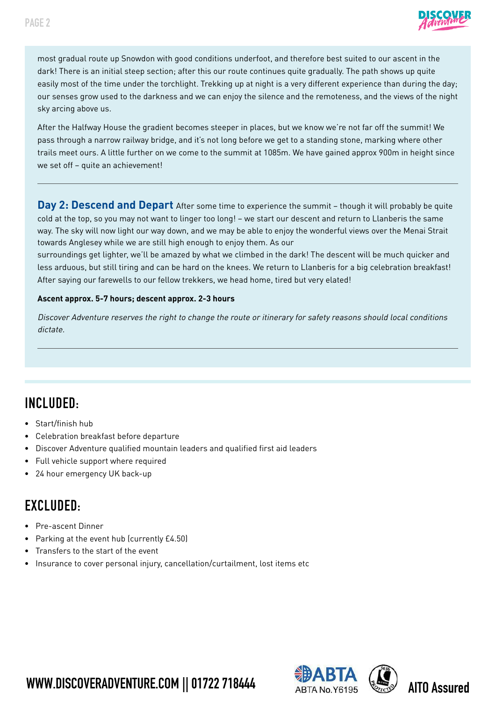

most gradual route up Snowdon with good conditions underfoot, and therefore best suited to our ascent in the dark! There is an initial steep section; after this our route continues quite gradually. The path shows up quite easily most of the time under the torchlight. Trekking up at night is a very different experience than during the day; our senses grow used to the darkness and we can enjoy the silence and the remoteness, and the views of the night sky arcing above us.

After the Halfway House the gradient becomes steeper in places, but we know we're not far off the summit! We pass through a narrow railway bridge, and it's not long before we get to a standing stone, marking where other trails meet ours. A little further on we come to the summit at 1085m. We have gained approx 900m in height since we set off – quite an achievement!

**Day 2: Descend and Depart** After some time to experience the summit – though it will probably be quite cold at the top, so you may not want to linger too long! – we start our descent and return to Llanberis the same way. The sky will now light our way down, and we may be able to enjoy the wonderful views over the Menai Strait towards Anglesey while we are still high enough to enjoy them. As our

surroundings get lighter, we'll be amazed by what we climbed in the dark! The descent will be much quicker and less arduous, but still tiring and can be hard on the knees. We return to Llanberis for a big celebration breakfast! After saying our farewells to our fellow trekkers, we head home, tired but very elated!

#### **Ascent approx. 5-7 hours; descent approx. 2-3 hours**

Discover Adventure reserves the right to change the route or itinerary for safety reasons should local conditions dictate.

## **INCLUDED:**

- Start/finish hub
- Celebration breakfast before departure
- Discover Adventure qualified mountain leaders and qualified first aid leaders
- Full vehicle support where required
- 24 hour emergency UK back-up

## **EXCLUDED:**

- Pre-ascent Dinner
- Parking at the event hub (currently £4.50)
- Transfers to the start of the event
- Insurance to cover personal injury, cancellation/curtailment, lost items etc





**WWW.DISCOVERADVENTURE.COM || 01722 718444** ABTA No. Y6195